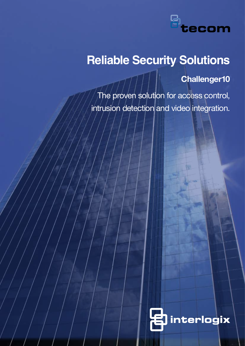

# **Reliable Security Solutions**

**Challenger10**

 The proven solution for access control, intrusion detection and video integration.

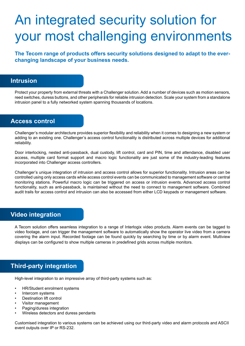# An integrated security solution for your most challenging environments

**The Tecom range of products offers security solutions designed to adapt to the everchanging landscape of your business needs.**

### **Intrusion**

Protect your property from external threats with a Challenger solution. Add a number of devices such as motion sensors, reed switches, duress buttons, and other peripherals for reliable intrusion detection. Scale your system from a standalone intrusion panel to a fully networked system spanning thousands of locations.

### **Access control**

Challenger's modular architecture provides superior flexibility and reliability when it comes to designing a new system or adding to an existing one. Challenger's access control functionality is distributed across multiple devices for additional reliability.

Door interlocking, nested anti-passback, dual custody, lift control, card and PIN, time and attendance, disabled user access, multiple card format support and macro logic functionality are just some of the industry-leading features incorporated into Challenger access controllers.

Challenger's unique integration of intrusion and access control allows for superior functionality. Intrusion areas can be controlled using only access cards while access control events can be communicated to management software or central monitoring stations. Powerful macro logic can be triggered on access or intrusion events. Advanced access control functionality, such as anti-passback, is maintained without the need to connect to management software. Combined audit trails for access control and intrusion can also be accessed from either LCD keypads or management software.

### **Video integration**

A Tecom solution offers seamless integration to a range of Interlogix video products. Alarm events can be tagged to video footage, and can trigger the management software to automatically show the operator live video from a camera covering the alarm input. Recorded footage can be found quickly by searching by time or by alarm event. Multiview displays can be configured to show multiple cameras in predefined grids across multiple monitors.

## **Third-party integration**

High-level integration to an impressive array of third-party systems such as:

- HR/Student enrolment systems
- Intercom systems
- **Destination lift control**
- Visitor management
- Paging/duress integration
- Wireless detectors and duress pendants

Customised integration to various systems can be achieved using our third-party video and alarm protocols and ASCII event outputs over IP or RS-232.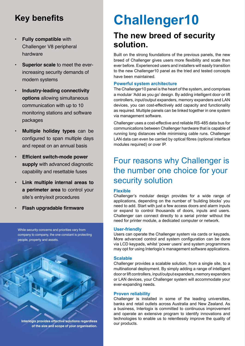# **Key benefits**

- **Fully compatible** with Challenger V8 peripheral hardware
- **Superior scale** to meet the everincreasing security demands of modern systems
- **• Industry-leading connectivity options** allowing simultaneous communication with up to 10 monitoring stations and software packages
- **Multiple holiday types** can be configured to span multiple days and repeat on an annual basis
- **Efficient switch-mode power supply** with advanced diagnostic capability and resettable fuses
- **Link multiple internal areas to a perimeter area** to control your site's entry/exit procedures
- **Flash upgradable firmware**

While security concerns and priorities vary from company to company, the one constant is protecting people, property and assets.



**Interlogix provides effective solutions regardless** 

**of the size and scope of your organisation.** 

# **Challenger10**

# **The new breed of security solution.**

Built on the strong foundations of the previous panels, the new breed of Challenger gives users more flexibility and scale than ever before. Experienced users and installers will easily transition to the new Challenger10 panel as the tried and tested concepts have been maintained.

### **Powerful system architecture**

The Challenger10 panel is the heart of the system, and comprises a modular 'Add as you go' design. By adding intelligent door or lift controllers, input/output expanders, memory expanders and LAN devices, you can cost-effectively add capacity and functionality as required. Multiple panels can be linked together in one system via management software.

Challenger uses a cost-effective and reliable RS-485 data bus for communications between Challenger hardware that is capable of running long distances while minimising cable runs. Challenger LAN data can even be carried by optical fibres (optional interface modules required) or over IP.

# Four reasons why Challenger is the number one choice for your security solution

### **Flexible**

Challenger's modular design provides for a wide range of applications, depending on the number of 'building blocks' you need to add. Start with just a few access doors and alarm inputs or expand to control thousands of doors, inputs and users. Challenger can connect directly to a serial printer without the need for printer module, a dedicated computer or network.

### **User-friendly**

Users can operate the Challenger system via cards or keypads. More advanced control and system configuration can be done via LCD keypads, whilst 'power users' and system programmers may opt for using Interlogix's management software applications.

### **Scalable**

Challenger provides a scalable solution, from a single site, to a multinational deployment. By simply adding a range of intelligent door or lift controllers, input/output expanders, memory expanders or LAN devices, your Challenger system will accommodate your ever-expanding needs.

### **Proven reliability**

Challenger is installed in some of the leading universities, banks and retail outlets across Australia and New Zealand. As a business, Interlogix is committed to continuous improvement and operate an extensive program to identify innovations and technologies to enable us to relentlessly improve the quality of our products.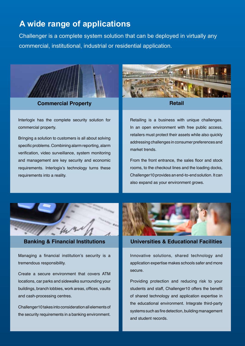## **A wide range of applications**

Challenger is a complete system solution that can be deployed in virtually any commercial, institutional, industrial or residential application.



**Commercial Property Retail** 

Interlogix has the complete security solution for commercial property.

Bringing a solution to customers is all about solving specific problems. Combining alarm reporting, alarm verification, video surveillance, system monitoring and management are key security and economic requirements. Interlogix's technology turns these requirements into a reality.



Retailing is a business with unique challenges. In an open environment with free public access, retailers must protect their assets while also quickly addressing challenges in consumer preferences and market trends.

From the front entrance, the sales floor and stock rooms, to the checkout lines and the loading docks, Challenger10 provides an end-to-end solution. It can also expand as your environment grows.



Managing a financial institution's security is a tremendous responsibility.

Create a secure environment that covers ATM locations, car parks and sidewalks surrounding your buildings, branch lobbies, work areas, offices, vaults and cash-processing centres.

Challenger10 takes into consideration all elements of the security requirements in a banking environment.



### **Banking & Financial Institutions Universities & Educational Facilities**

Innovative solutions, shared technology and application expertise makes schools safer and more secure.

Providing protection and reducing risk to your students and staff, Challenger10 offers the benefit of shared technology and application expertise in the educational environment. Integrate third-party systems such as fire detection, building management and student records.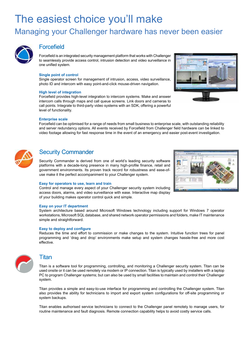# The easiest choice you'll make

## Managing your Challenger hardware has never been easier



### **Forcefield**

Forcefield is an integrated security management platform that works with Challenger to seamlessly provide access control, intrusion detection and video surveillance in one unified system.

### **Single point of control**

Single operator screen for management of intrusion, access, video surveillance, photo ID and intercom with easy point-and-click mouse-driven navigation.

### **High level of integration**

Forcefield provides high-level integration to intercom systems. Make and answer intercom calls through maps and call queue screens. Link doors and cameras to call points. Integrate to third-party video systems with an SDK, offering a powerful level of functionality.



### **Enterprise scale**

Forcefield can be optimised for a range of needs from small business to enterprise scale, with outstanding reliability and server redundancy options. All events received by Forcefield from Challenger field hardware can be linked to video footage allowing for fast response time in the event of an emergency and easier post-event investigation.



### Security Commander

Security Commander is derived from one of world's leading security software platforms with a decade-long presence in many high-profile finance, retail and government environments. Its proven track record for robustness and ease-ofuse make it the perfect accompaniment to your Challenger system.



### **Easy for operators to use, learn and train**

Control and manage every aspect of your Challenger security system including access doors, alarms, and video surveillance with ease. Interactive map display of your building makes operator control quick and simple.

### **Easy on your IT department**

System architecture based around Microsoft Windows technology including support for Windows 7 operator workstations, Microsoft SQL database, and shared network operator permissions and folders, make IT maintenance simple and straightforward.

### **Easy to deploy and configure**

Reduces the time and effort to commission or make changes to the system. Intuitive function trees for panel programming and 'drag and drop' environments make setup and system changes hassle-free and more cost effective.



### Titan

Titan is a software tool for programming, controlling, and monitoring a Challenger security system. Titan can be used onsite or it can be used remotely via modem or IP connection. Titan is typically used by installers with a laptop PC to program Challenger systems; but can also be used by small facilities to maintain and control their Challenger system.

Titan provides a simple and easy-to-use interface for programming and controlling the Challenger system. Titan also provides the ability for technicians to import and export system configurations for off-site programming or system backups.

Titan enables authorised service technicians to connect to the Challenger panel remotely to manage users, for routine maintenance and fault diagnosis. Remote connection capability helps to avoid costly service calls.